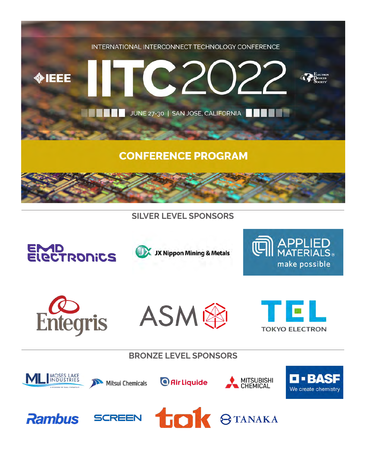

# **SILVER LEVEL SPONSORS**













**BRONZE LEVEL SPONSORS**















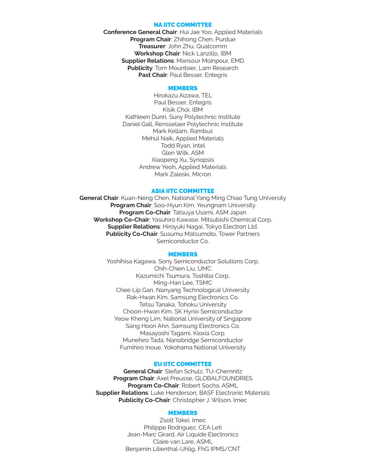#### NA IITC COMMITTEE

**Conference General Chair**: Hui Jae Yoo, Applied Materials **Program Chair**: Zhihong Chen, Purdue **Treasurer**: John Zhu, Qualcomm **Workshop Chair**: Nick Lanzillo, IBM **Supplier Relations**: Mansour Moinpour, EMD **Publicity**: Tom Mountsier, Lam Research **Past Chair: Paul Besser, Entegris** 

#### MEMBERS

Hirokazu Aizawa, TEL Paul Besser, Entegris Kisik Choi, IBM Kathleen Dunn, Suny Polytechnic Institute Daniel Gall, Rensselaer Polytechnic Institute Mark Kellam, Rambus Mehul Naik, Applied Materials Todd Ryan, Intel Glen Wilk, ASM Xiaopeng Xu, Synopsis Andrew Yeoh, Applied Materials Mark Zaleski, Micron

#### ASIA IITC COMMITTEE

**General Chair**: Kuan-Neng Chen, National Yang Ming Chiao Tung University **Program Chair**: Soo-Hyun Kim, Yeungnam University **Program Co-Chair**: Tatsuya Usami, ASM Japan **Workshop Co-Chair**: Yasuhiro Kawase, Mitsubishi Chemical Corp. **Supplier Relations**: Hiroyuki Nagai, Tokyo Electron Ltd. **Publicity Co-Chair**: Susumu Matsumoto, Tower Partners Semiconductor Co.

#### **MEMBERS**

Yoshihisa Kagawa, Sony Semiconductor Solutions Corp. Chih-Chien Liu, UMC Kazumichi Tsumura, Toshiba Corp, Ming-Han Lee, TSMC Chee Lip Gan, Nanyang Technological University Rak-Hwan Kim, Samsung Electronics Co. Tetsu Tanaka, Tohoku University Choon-Hwan Kim, SK Hynix Semiconductor Yeow Kheng Lim, National University of Singapore Sang Hoon Ahn, Samsung Electronics Co. Masayoshi Tagami, Kioxia Corp. Munehiro Tada, Nanobridge Semiconductor Fumihiro Inoue, Yokohama National University

#### EU IITC COMMITTEE

**General Chair**: Stefan Schulz, TU-Chemnitz **Program Chair**: Axel Preusse, GLOBALFOUNDRIES **Program Co-Chair**: Robert Socha, ASML **Supplier Relations**: Luke Henderson, BASF Electronic Materials **Publicity Co-Chair**: Christopher J. Wilson, Imec

#### **MEMBERS**

Zsolt Tokei, Imec Philippe Rodriguez, CEA Leti Jean-Marc Girard, Air Liquide Electronics Claire van Lare, ASML Benjamin Lilienthal-Uhlig, FhG IPMS/CNT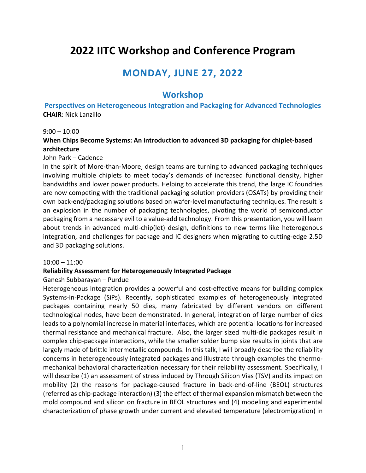# **2022 IITC Workshop and Conference Program**

# **MONDAY, JUNE 27, 2022**

# **Workshop**

**Perspectives on Heterogeneous Integration and Packaging for Advanced Technologies CHAIR**: Nick Lanzillo

#### $9:00 - 10:00$

#### **When Chips Become Systems: An introduction to advanced 3D packaging for chiplet‐based architecture**

#### John Park – Cadence

In the spirit of More‐than‐Moore, design teams are turning to advanced packaging techniques involving multiple chiplets to meet today's demands of increased functional density, higher bandwidths and lower power products. Helping to accelerate this trend, the large IC foundries are now competing with the traditional packaging solution providers (OSATs) by providing their own back‐end/packaging solutions based on wafer‐level manufacturing techniques. The result is an explosion in the number of packaging technologies, pivoting the world of semiconductor packaging from a necessary evil to a value‐add technology. From this presentation, you will learn about trends in advanced multi‐chip(let) design, definitions to new terms like heterogenous integration, and challenges for package and IC designers when migrating to cutting‐edge 2.5D and 3D packaging solutions.

#### 10:00 – 11:00

#### **Reliability Assessment for Heterogeneously Integrated Package**

#### Ganesh Subbarayan – Purdue

Heterogeneous Integration provides a powerful and cost-effective means for building complex Systems‐in‐Package (SiPs). Recently, sophisticated examples of heterogeneously integrated packages containing nearly 50 dies, many fabricated by different vendors on different technological nodes, have been demonstrated. In general, integration of large number of dies leads to a polynomial increase in material interfaces, which are potential locations for increased thermal resistance and mechanical fracture. Also, the larger sized multi‐die packages result in complex chip‐package interactions, while the smaller solder bump size results in joints that are largely made of brittle intermetallic compounds. In this talk, I will broadly describe the reliability concerns in heterogeneously integrated packages and illustrate through examples the thermo‐ mechanical behavioral characterization necessary for their reliability assessment. Specifically, I will describe (1) an assessment of stress induced by Through Silicon Vias (TSV) and its impact on mobility (2) the reasons for package‐caused fracture in back‐end‐of‐line (BEOL) structures (referred as chip‐package interaction) (3) the effect of thermal expansion mismatch between the mold compound and silicon on fracture in BEOL structures and (4) modeling and experimental characterization of phase growth under current and elevated temperature (electromigration) in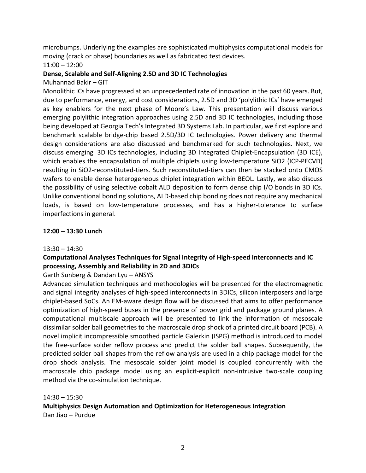microbumps. Underlying the examples are sophisticated multiphysics computational models for moving (crack or phase) boundaries as well as fabricated test devices.

#### 11:00 – 12:00

#### **Dense, Scalable and Self‐Aligning 2.5D and 3D IC Technologies**

Muhannad Bakir – GIT

Monolithic ICs have progressed at an unprecedented rate of innovation in the past 60 years. But, due to performance, energy, and cost considerations, 2.5D and 3D 'polylithic ICs' have emerged as key enablers for the next phase of Moore's Law. This presentation will discuss various emerging polylithic integration approaches using 2.5D and 3D IC technologies, including those being developed at Georgia Tech's Integrated 3D Systems Lab. In particular, we first explore and benchmark scalable bridge‐chip based 2.5D/3D IC technologies. Power delivery and thermal design considerations are also discussed and benchmarked for such technologies. Next, we discuss emerging 3D ICs technologies, including 3D Integrated Chiplet‐Encapsulation (3D ICE), which enables the encapsulation of multiple chiplets using low-temperature SiO2 (ICP-PECVD) resulting in SiO2‐reconstituted‐tiers. Such reconstituted‐tiers can then be stacked onto CMOS wafers to enable dense heterogeneous chiplet integration within BEOL. Lastly, we also discuss the possibility of using selective cobalt ALD deposition to form dense chip I/O bonds in 3D ICs. Unlike conventional bonding solutions, ALD‐based chip bonding does not require any mechanical loads, is based on low-temperature processes, and has a higher-tolerance to surface imperfections in general.

#### **12:00 – 13:30 Lunch**

#### $13:30 - 14:30$

# **Computational Analyses Techniques for Signal Integrity of High‐speed Interconnects and IC processing, Assembly and Reliability in 2D and 3DICs**

Garth Sunberg & Dandan Lyu – ANSYS

Advanced simulation techniques and methodologies will be presented for the electromagnetic and signal integrity analyses of high‐speed interconnects in 3DICs, silicon interposers and large chiplet‐based SoCs. An EM‐aware design flow will be discussed that aims to offer performance optimization of high‐speed buses in the presence of power grid and package ground planes. A computational multiscale approach will be presented to link the information of mesoscale dissimilar solder ball geometries to the macroscale drop shock of a printed circuit board (PCB). A novel implicit incompressible smoothed particle Galerkin (ISPG) method is introduced to model the free‐surface solder reflow process and predict the solder ball shapes. Subsequently, the predicted solder ball shapes from the reflow analysis are used in a chip package model for the drop shock analysis. The mesoscale solder joint model is coupled concurrently with the macroscale chip package model using an explicit-explicit non-intrusive two-scale coupling method via the co-simulation technique.

14:30 – 15:30

**Multiphysics Design Automation and Optimization for Heterogeneous Integration** Dan Jiao – Purdue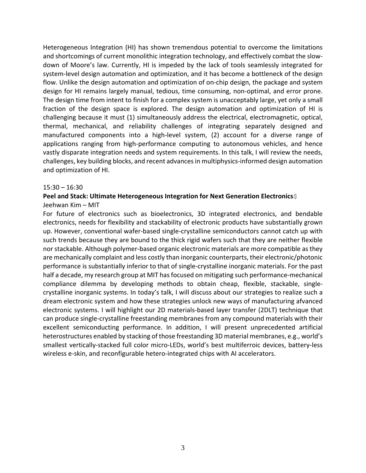Heterogeneous Integration (HI) has shown tremendous potential to overcome the limitations and shortcomings of current monolithic integration technology, and effectively combat the slow‐ down of Moore's law. Currently, HI is impeded by the lack of tools seamlessly integrated for system-level design automation and optimization, and it has become a bottleneck of the design flow. Unlike the design automation and optimization of on-chip design, the package and system design for HI remains largely manual, tedious, time consuming, non-optimal, and error prone. The design time from intent to finish for a complex system is unacceptably large, yet only a small fraction of the design space is explored. The design automation and optimization of HI is challenging because it must (1) simultaneously address the electrical, electromagnetic, optical, thermal, mechanical, and reliability challenges of integrating separately designed and manufactured components into a high‐level system, (2) account for a diverse range of applications ranging from high‐performance computing to autonomous vehicles, and hence vastly disparate integration needs and system requirements. In this talk, I will review the needs, challenges, key building blocks, and recent advancesin multiphysics‐informed design automation and optimization of HI.

#### 15:30 – 16:30

#### **Peel and Stack: Ultimate Heterogeneous Integration for Next Generation Electronics** Jeehwan Kim – MIT

For future of electronics such as bioelectronics, 3D integrated electronics, and bendable electronics, needs for flexibility and stackability of electronic products have substantially grown up. However, conventional wafer‐based single‐crystalline semiconductors cannot catch up with such trends because they are bound to the thick rigid wafers such that they are neither flexible nor stackable. Although polymer‐based organic electronic materials are more compatible asthey are mechanically complaint and less costly than inorganic counterparts, their electronic/photonic performance is substantially inferior to that of single‐crystalline inorganic materials. For the past half a decade, my research group at MIT has focused on mitigating such performance-mechanical compliance dilemma by developing methods to obtain cheap, flexible, stackable, single‐ crystalline inorganic systems. In today's talk, I will discuss about our strategies to realize such a dream electronic system and how these strategies unlock new ways of manufacturing afvanced electronic systems. I will highlight our 2D materials‐based layer transfer (2DLT) technique that can produce single‐crystalline freestanding membranes from any compound materials with their excellent semiconducting performance. In addition, I will present unprecedented artificial heterostructures enabled by stacking of those freestanding 3D material membranes, e.g., world's smallest vertically-stacked full color micro-LEDs, world's best multiferroic devices, battery-less wireless e-skin, and reconfigurable hetero-integrated chips with AI accelerators.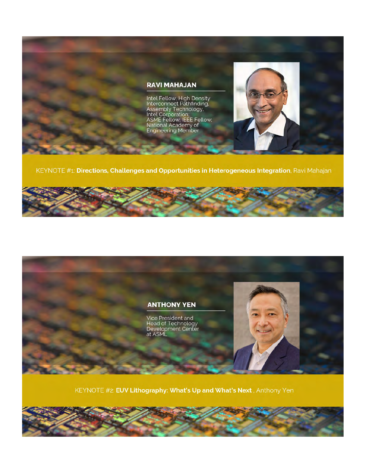

KEYNOTE #1: Directions, Challenges and Opportunities in Heterogeneous Integration, Ravi Mahajan





KEYNOTE #2: EUV Lithography: What's Up and What's Next, Anthony Yen

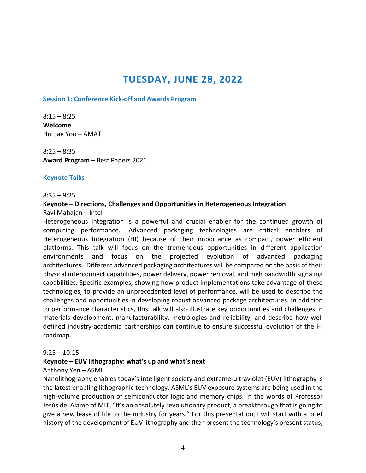# **TUESDAY, JUNE 28, 2022**

#### **Session 1: Conference Kick‐off and Awards Program**

 $8:15 - 8:25$ **Welcome** Hui Jae Yoo – AMAT

 $8:25 - 8:35$ **Award Program** – Best Papers 2021

#### **Keynote Talks**

#### 8:35 – 9:25

#### **Keynote – Directions, Challenges and Opportunities in Heterogeneous Integration**

Ravi Mahajan – Intel

Heterogeneous Integration is a powerful and crucial enabler for the continued growth of computing performance. Advanced packaging technologies are critical enablers of Heterogeneous Integration (HI) because of their importance as compact, power efficient platforms. This talk will focus on the tremendous opportunities in different application environments and focus on the projected evolution of advanced packaging architectures. Different advanced packaging architectures will be compared on the basis of their physical interconnect capabilities, power delivery, power removal, and high bandwidth signaling capabilities. Specific examples, showing how product implementations take advantage of these technologies, to provide an unprecedented level of performance, will be used to describe the challenges and opportunities in developing robust advanced package architectures. In addition to performance characteristics, this talk will also illustrate key opportunities and challenges in materials development, manufacturability, metrologies and reliability, and describe how well defined industry‐academia partnerships can continue to ensure successful evolution of the HI roadmap.

#### $9:25 - 10:15$

#### **Keynote – EUV lithography: what's up and what's next**

#### Anthony Yen – ASML

Nanolithography enables today's intelligent society and extreme‐ultraviolet (EUV) lithography is the latest enabling lithographic technology. ASML's EUV exposure systems are being used in the high-volume production of semiconductor logic and memory chips. In the words of Professor Jesús del Alamo of MIT, "It's an absolutely revolutionary product, a breakthrough that is going to give a new lease of life to the industry for years." For this presentation, I will start with a brief history of the development of EUV lithography and then present the technology's present status,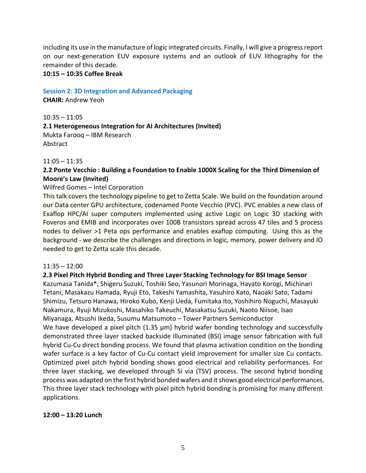including its use in the manufacture of logic integrated circuits. Finally, I will give a progressreport on our next‐generation EUV exposure systems and an outlook of EUV lithography for the remainder of this decade.

#### **10:15 – 10:35 Coffee Break**

#### **Session 2: 3D Integration and Advanced Packaging**

**CHAIR:** Andrew Yeoh

10:35 – 11:05 **2.1 Heterogeneous Integration for AI Architectures (Invited)** Mukta Farooq – IBM Research Abstract

#### 11:05 – 11:35

# **2.2 Ponte Vecchio : Building a Foundation to Enable 1000X Scaling for the Third Dimension of Moore's Law (Invited)**

#### Wilfred Gomes – Intel Corporation

This talk covers the technology pipeline to get to Zetta Scale. We build on the foundation around our Data center GPU architecture, codenamed Ponte Vecchio (PVC). PVC enables a new class of Exaflop HPC/AI super computers implemented using active Logic on Logic 3D stacking with Foveros and EMIB and incorporates over 100B transistors spread across 47 tiles and 5 process nodes to deliver >1 Peta ops performance and enables exaflop computing. Using this as the background ‐ we describe the challenges and directions in logic, memory, power delivery and IO needed to get to Zetta scale this decade.

#### 11:35 – 12:00

#### **2.3 Pixel Pitch Hybrid Bonding and Three Layer Stacking Technology for BSI Image Sensor**

Kazumasa Tanida\*, Shigeru Suzuki, Toshiki Seo, Yasunori Morinaga, Hayato Korogi, Michinari Tetani, Masakazu Hamada, Ryuji Eto, Takeshi Yamashita, Yasuhiro Kato, Naoaki Sato, Tadami Shimizu, Tetsuro Hanawa, Hiroko Kubo, Kenji Ueda, Fumitaka Ito, Yoshihiro Noguchi, Masayuki Nakamura, Ryuji Mizukoshi, Masahiko Takeuchi, Masakatsu Suzuki, Naoto Niisoe, Isao Miyanaga, Atsushi Ikeda, Susumu Matsumoto – Tower Partners Semiconductor

We have developed a pixel pitch  $(1.35 \mu m)$  hybrid wafer bonding technology and successfully demonstrated three layer stacked backside illuminated (BSI) image sensor fabrication with full hybrid Cu-Cu direct bonding process. We found that plasma activation condition on the bonding wafer surface is a key factor of Cu-Cu contact yield improvement for smaller size Cu contacts. Optimized pixel pitch hybrid bonding shows good electrical and reliability performances. For three layer stacking, we developed through Si via (TSV) process. The second hybrid bonding process was adapted on the first hybrid bonded wafers and it shows good electrical performances. This three layer stack technology with pixel pitch hybrid bonding is promising for many different applications.

### **12:00 – 13:20 Lunch**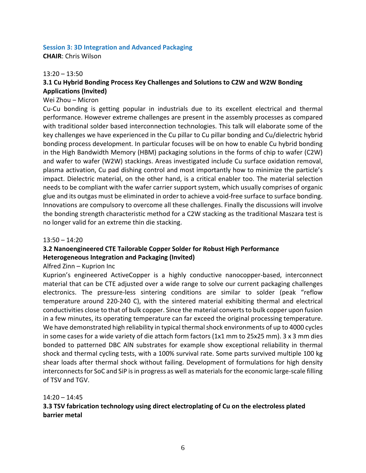#### **Session 3: 3D Integration and Advanced Packaging**

**CHAIR**: Chris Wilson

#### $13:20 - 13:50$

# **3.1 Cu Hybrid Bonding Process Key Challenges and Solutions to C2W and W2W Bonding Applications (Invited)**

#### Wei Zhou – Micron

Cu‐Cu bonding is getting popular in industrials due to its excellent electrical and thermal performance. However extreme challenges are present in the assembly processes as compared with traditional solder based interconnection technologies. This talk will elaborate some of the key challenges we have experienced in the Cu pillar to Cu pillar bonding and Cu/dielectric hybrid bonding process development. In particular focuses will be on how to enable Cu hybrid bonding in the High Bandwidth Memory (HBM) packaging solutions in the forms of chip to wafer (C2W) and wafer to wafer (W2W) stackings. Areas investigated include Cu surface oxidation removal, plasma activation, Cu pad dishing control and most importantly how to minimize the particle's impact. Dielectric material, on the other hand, is a critical enabler too. The material selection needs to be compliant with the wafer carrier support system, which usually comprises of organic glue and its outgas must be eliminated in order to achieve a void‐free surface to surface bonding. Innovations are compulsory to overcome all these challenges. Finally the discussions will involve the bonding strength characteristic method for a C2W stacking as the traditional Maszara test is no longer valid for an extreme thin die stacking.

#### 13:50 – 14:20

### **3.2 Nanoengineered CTE Tailorable Copper Solder for Robust High Performance Heterogeneous Integration and Packaging (Invited)**

#### Alfred Zinn – Kuprion Inc

Kuprion's engineered ActiveCopper is a highly conductive nanocopper‐based, interconnect material that can be CTE adjusted over a wide range to solve our current packaging challenges electronics. The pressure-less sintering conditions are similar to solder (peak "reflow temperature around 220‐240 C), with the sintered material exhibiting thermal and electrical conductivities close to that of bulk copper. Since the material convertsto bulk copper upon fusion in a few minutes, its operating temperature can far exceed the original processing temperature. We have demonstrated high reliability in typical thermal shock environments of up to 4000 cycles in some cases for a wide variety of die attach form factors (1x1 mm to 25x25 mm). 3 x 3 mm dies bonded to patterned DBC AlN substrates for example show exceptional reliability in thermal shock and thermal cycling tests, with a 100% survival rate. Some parts survived multiple 100 kg shear loads after thermal shock without failing. Development of formulations for high density interconnects for SoC and SiP is in progress as well as materials for the economic large-scale filling of TSV and TGV.

#### 14:20 – 14:45

# **3.3 TSV fabrication technology using direct electroplating of Cu on the electroless plated barrier metal**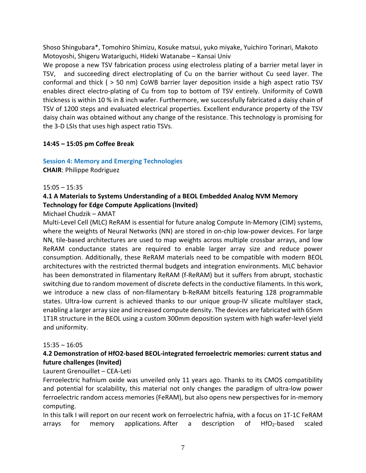Shoso Shingubara\*, Tomohiro Shimizu, Kosuke matsui, yuko miyake, Yuichiro Torinari, Makoto Motoyoshi, Shigeru Watariguchi, Hideki Watanabe – Kansai Univ

We propose a new TSV fabrication process using electroless plating of a barrier metal layer in TSV, and succeeding direct electroplating of Cu on the barrier without Cu seed layer. The conformal and thick ( > 50 nm) CoWB barrier layer deposition inside a high aspect ratio TSV enables direct electro‐plating of Cu from top to bottom of TSV entirely. Uniformity of CoWB thickness is within 10 % in 8 inch wafer. Furthermore, we successfully fabricated a daisy chain of TSV of 1200 steps and evaluated electrical properties. Excellent endurance property of the TSV daisy chain was obtained without any change of the resistance. This technology is promising for the 3‐D LSIs that uses high aspect ratio TSVs.

### **14:45 – 15:05 pm Coffee Break**

# **Session 4: Memory and Emerging Technologies**

**CHAIR**: Philippe Rodriguez

### 15:05 – 15:35

# **4.1 A Materials to Systems Understanding of a BEOL Embedded Analog NVM Memory Technology for Edge Compute Applications (Invited)**

Michael Chudzik – AMAT

Multi‐Level Cell (MLC) ReRAM is essential for future analog Compute In‐Memory (CIM) systems, where the weights of Neural Networks (NN) are stored in on-chip low-power devices. For large NN, tile‐based architectures are used to map weights across multiple crossbar arrays, and low ReRAM conductance states are required to enable larger array size and reduce power consumption. Additionally, these ReRAM materials need to be compatible with modern BEOL architectures with the restricted thermal budgets and integration environments. MLC behavior has been demonstrated in filamentary ReRAM (f-ReRAM) but it suffers from abrupt, stochastic switching due to random movement of discrete defects in the conductive filaments. In this work, we introduce a new class of non-filamentary b-ReRAM bitcells featuring 128 programmable states. Ultra-low current is achieved thanks to our unique group-IV silicate multilayer stack, enabling a larger array size and increased compute density. The devices are fabricated with 65nm 1T1R structure in the BEOL using a custom 300mm deposition system with high wafer‐level yield and uniformity.

### 15:35 – 16:05

# **4.2 Demonstration of HfO2‐based BEOL‐integrated ferroelectric memories: current status and future challenges (Invited)**

# Laurent Grenouillet – CEA‐Leti

Ferroelectric hafnium oxide was unveiled only 11 years ago. Thanks to its CMOS compatibility and potential for scalability, this material not only changes the paradigm of ultra‐low power ferroelectric random access memories (FeRAM), but also opens new perspectives for in‐memory computing.

In this talk I will report on our recent work on ferroelectric hafnia, with a focus on 1T‐1C FeRAM arrays for memory applications. After a description of  $HfO<sub>2</sub>$ -based scaled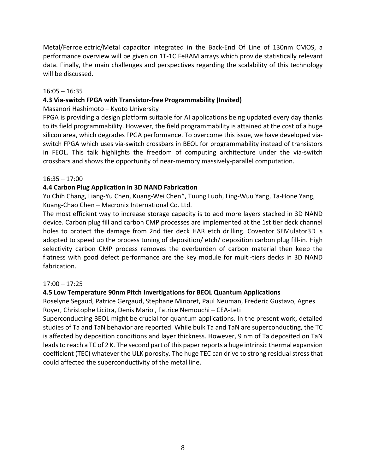Metal/Ferroelectric/Metal capacitor integrated in the Back‐End Of Line of 130nm CMOS, a performance overview will be given on 1T‐1C FeRAM arrays which provide statistically relevant data. Finally, the main challenges and perspectives regarding the scalability of this technology will be discussed.

#### 16:05 – 16:35

### **4.3 Via‐switch FPGA with Transistor‐free Programmability (Invited)**

### Masanori Hashimoto – Kyoto University

FPGA is providing a design platform suitable for AI applications being updated every day thanks to its field programmability. However, the field programmability is attained at the cost of a huge silicon area, which degrades FPGA performance. To overcome this issue, we have developed via‐ switch FPGA which uses via-switch crossbars in BEOL for programmability instead of transistors in FEOL. This talk highlights the freedom of computing architecture under the via‐switch crossbars and shows the opportunity of near‐memory massively‐parallel computation.

#### 16:35 – 17:00

### **4.4 Carbon Plug Application in 3D NAND Fabrication**

Yu Chih Chang, Liang‐Yu Chen, Kuang‐Wei Chen\*, Tuung Luoh, Ling‐Wuu Yang, Ta‐Hone Yang, Kuang‐Chao Chen – Macronix International Co. Ltd.

The most efficient way to increase storage capacity is to add more layers stacked in 3D NAND device. Carbon plug fill and carbon CMP processes are implemented at the 1st tier deck channel holes to protect the damage from 2nd tier deck HAR etch drilling. Coventor SEMulator3D is adopted to speed up the process tuning of deposition/ etch/ deposition carbon plug fill‐in. High selectivity carbon CMP process removes the overburden of carbon material then keep the flatness with good defect performance are the key module for multi-tiers decks in 3D NAND fabrication.

### 17:00 – 17:25

### **4.5 Low Temperature 90nm Pitch Invertigations for BEOL Quantum Applications**

Roselyne Segaud, Patrice Gergaud, Stephane Minoret, Paul Neuman, Frederic Gustavo, Agnes Royer, Christophe Licitra, Denis Mariol, Fatrice Nemouchi – CEA‐Leti

Superconducting BEOL might be crucial for quantum applications. In the present work, detailed studies of Ta and TaN behavior are reported. While bulk Ta and TaN are superconducting, the TC is affected by deposition conditions and layer thickness. However, 9 nm of Ta deposited on TaN leads to reach a TC of 2 K. The second part of this paper reports a huge intrinsic thermal expansion coefficient (TEC) whatever the ULK porosity. The huge TEC can drive to strong residual stressthat could affected the superconductivity of the metal line.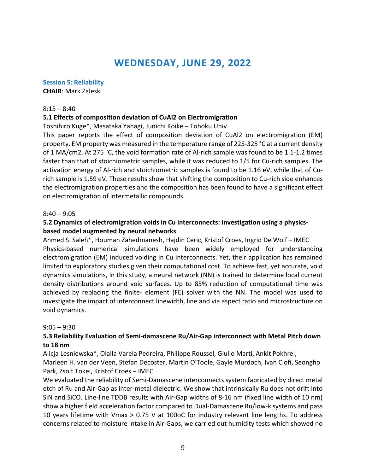# **WEDNESDAY, JUNE 29, 2022**

#### **Session 5: Reliability**

**CHAIR**: Mark Zaleski

#### $8:15 - 8:40$

#### **5.1 Effects of composition deviation of CuAl2 on Electromigration**

Toshihiro Kuge\*, Masataka Yahagi, Junichi Koike – Tohoku Univ

This paper reports the effect of composition deviation of CuAl2 on electromigration (EM) property. EM property was measured in the temperature range of 225‐325 °C at a current density of 1 MA/cm2. At 275 °C, the void formation rate of Al‐rich sample was found to be 1.1‐1.2 times faster than that of stoichiometric samples, while it was reduced to 1/5 for Cu-rich samples. The activation energy of Al‐rich and stoichiometric samples is found to be 1.16 eV, while that of Cu‐ rich sample is 1.59 eV. These results show that shifting the composition to Cu-rich side enhances the electromigration properties and the composition has been found to have a significant effect on electromigration of intermetallic compounds.

#### $8:40 - 9:05$

#### **5.2 Dynamics of electromigration voids in Cu interconnects: investigation using a physics‐ based model augmented by neural networks**

Ahmed S. Saleh\*, Houman Zahedmanesh, Hajdin Ceric, Kristof Croes, Ingrid De Wolf – IMEC Physics‐based numerical simulations have been widely employed for understanding electromigration (EM) induced voiding in Cu interconnects. Yet, their application has remained limited to exploratory studies given their computational cost. To achieve fast, yet accurate, void dynamics simulations, in this study, a neural network (NN) is trained to determine local current density distributions around void surfaces. Up to 85% reduction of computational time was achieved by replacing the finite- element (FE) solver with the NN. The model was used to investigate the impact of interconnect linewidth, line and via aspect ratio and microstructure on void dynamics.

#### $9:05 - 9:30$

### **5.3 Reliability Evaluation of Semi‐damascene Ru/Air‐Gap interconnect with Metal Pitch down to 18 nm**

Alicja Lesniewska\*, Olalla Varela Pedreira, Philippe Roussel, Giulio Marti, Ankit Pokhrel, Marleen H. van der Veen, Stefan Decoster, Martin O'Toole, Gayle Murdoch, Ivan Ciofi, Seongho Park, Zsolt Tokei, Kristof Croes – IMEC

We evaluated the reliability of Semi‐Damascene interconnects system fabricated by direct metal etch of Ru and Air‐Gap as inter‐metal dielectric. We show that intrinsically Ru does not drift into SiN and SiCO. Line‐line TDDB results with Air‐Gap widths of 8‐16 nm (fixed line width of 10 nm) show a higher field acceleration factor compared to Dual‐Damascene Ru/low‐k systems and pass 10 years lifetime with Vmax > 0.75 V at 100oC for industry relevant line lengths. To address concerns related to moisture intake in Air‐Gaps, we carried out humidity tests which showed no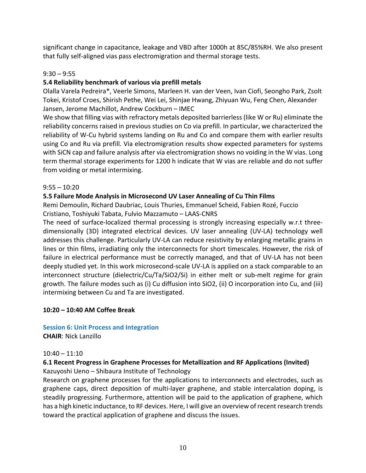significant change in capacitance, leakage and VBD after 1000h at 85C/85%RH. We also present that fully self‐aligned vias pass electromigration and thermal storage tests.

# $9:30 - 9:55$

# **5.4 Reliability benchmark of various via prefill metals**

Olalla Varela Pedreira\*, Veerle Simons, Marleen H. van der Veen, Ivan Ciofi, Seongho Park, Zsolt Tokei, Kristof Croes, Shirish Pethe, Wei Lei, Shinjae Hwang, Zhiyuan Wu, Feng Chen, Alexander Jansen, Jerome Machillot, Andrew Cockburn – IMEC

We show that filling vias with refractory metals deposited barrierless (like W or Ru) eliminate the reliability concerns raised in previous studies on Co via prefill. In particular, we characterized the reliability of W-Cu hybrid systems landing on Ru and Co and compare them with earlier results using Co and Ru via prefill. Via electromigration results show expected parameters for systems with SiCN cap and failure analysis after via electromigration shows no voiding in the W vias. Long term thermal storage experiments for 1200 h indicate that W vias are reliable and do not suffer from voiding or metal intermixing.

# 9:55 – 10:20

# **5.5 Failure Mode Analysis in Microsecond UV Laser Annealing of Cu Thin Films**

Remi Demoulin, Richard Daubriac, Louis Thuries, Emmanuel Scheid, Fabien Rozé, Fuccio Cristiano, Toshiyuki Tabata, Fulvio Mazzamuto – LAAS‐CNRS

The need of surface-localized thermal processing is strongly increasing especially w.r.t threedimensionally (3D) integrated electrical devices. UV laser annealing (UV‐LA) technology well addresses this challenge. Particularly UV-LA can reduce resistivity by enlarging metallic grains in lines or thin films, irradiating only the interconnects for short timescales. However, the risk of failure in electrical performance must be correctly managed, and that of UV‐LA has not been deeply studied yet. In this work microsecond‐scale UV‐LA is applied on a stack comparable to an interconnect structure (dielectric/Cu/Ta/SiO2/Si) in either melt or sub-melt regime for grain growth. The failure modes such as (i) Cu diffusion into SiO2, (ii) O incorporation into Cu, and (iii) intermixing between Cu and Ta are investigated.

### **10:20 – 10:40 AM Coffee Break**

#### **Session 6: Unit Process and Integration CHAIR**: Nick Lanzillo

### $10:40 - 11:10$

# **6.1 Recent Progress in Graphene Processes for Metallization and RF Applications (Invited)**

Kazuyoshi Ueno – Shibaura Institute of Technology

Research on graphene processes for the applications to interconnects and electrodes, such as graphene caps, direct deposition of multi‐layer graphene, and stable intercalation doping, is steadily progressing. Furthermore, attention will be paid to the application of graphene, which has a high kinetic inductance, to RF devices. Here, I will give an overview of recent research trends toward the practical application of graphene and discuss the issues.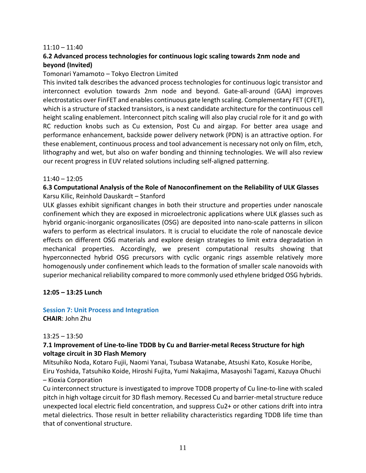#### $11:10 - 11:40$

# **6.2 Advanced process technologies for continuous logic scaling towards 2nm node and beyond (Invited)**

#### Tomonari Yamamoto – Tokyo Electron Limited

This invited talk describes the advanced process technologies for continuous logic transistor and interconnect evolution towards 2nm node and beyond. Gate-all-around (GAA) improves electrostatics over FinFET and enables continuous gate length scaling. Complementary FET (CFET), which is a structure of stacked transistors, is a next candidate architecture for the continuous cell height scaling enablement. Interconnect pitch scaling will also play crucial role for it and go with RC reduction knobs such as Cu extension, Post Cu and airgap. For better area usage and performance enhancement, backside power delivery network (PDN) is an attractive option. For these enablement, continuous process and tool advancement is necessary not only on film, etch, lithography and wet, but also on wafer bonding and thinning technologies. We will also review our recent progress in EUV related solutions including self‐aligned patterning.

#### 11:40 – 12:05

#### **6.3 Computational Analysis of the Role of Nanoconfinement on the Reliability of ULK Glasses** Karsu Kilic, Reinhold Dauskardt – Stanford

ULK glasses exhibit significant changes in both their structure and properties under nanoscale confinement which they are exposed in microelectronic applications where ULK glasses such as hybrid organic-inorganic organosilicates (OSG) are deposited into nano-scale patterns in silicon wafers to perform as electrical insulators. It is crucial to elucidate the role of nanoscale device effects on different OSG materials and explore design strategies to limit extra degradation in mechanical properties. Accordingly, we present computational results showing that hyperconnected hybrid OSG precursors with cyclic organic rings assemble relatively more homogenously under confinement which leads to the formation of smaller scale nanovoids with superior mechanical reliability compared to more commonly used ethylene bridged OSG hybrids.

#### **12:05 – 13:25 Lunch**

# **Session 7: Unit Process and Integration**

**CHAIR**: John Zhu

#### $13:25 - 13:50$

#### **7.1 Improvement of Line‐to‐line TDDB by Cu and Barrier‐metal Recess Structure for high voltage circuit in 3D Flash Memory**

Mitsuhiko Noda, Kotaro Fujii, Naomi Yanai, Tsubasa Watanabe, Atsushi Kato, Kosuke Horibe, Eiru Yoshida, Tatsuhiko Koide, Hiroshi Fujita, Yumi Nakajima, Masayoshi Tagami, Kazuya Ohuchi – Kioxia Corporation

Cu interconnect structure is investigated to improve TDDB property of Cu line‐to‐line with scaled pitch in high voltage circuit for 3D flash memory. Recessed Cu and barrier-metal structure reduce unexpected local electric field concentration, and suppress Cu2+ or other cations drift into intra metal dielectrics. Those result in better reliability characteristics regarding TDDB life time than that of conventional structure.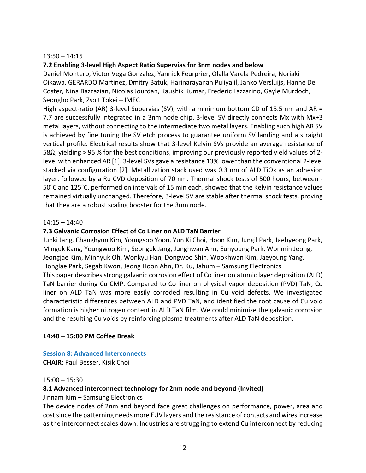#### 13:50 – 14:15

#### **7.2 Enabling 3‐level High Aspect Ratio Supervias for 3nm nodes and below**

Daniel Montero, Victor Vega Gonzalez, Yannick Feurprier, Olalla Varela Pedreira, Noriaki Oikawa, GERARDO Martinez, Dmitry Batuk, Harinarayanan Puliyalil, Janko Versluijs, Hanne De Coster, Nina Bazzazian, Nicolas Jourdan, Kaushik Kumar, Frederic Lazzarino, Gayle Murdoch, Seongho Park, Zsolt Tokei – IMEC

High aspect-ratio (AR) 3-level Supervias (SV), with a minimum bottom CD of 15.5 nm and AR = 7.7 are successfully integrated in a 3nm node chip. 3-level SV directly connects Mx with Mx+3 metal layers, without connecting to the intermediate two metal layers. Enabling such high AR SV is achieved by fine tuning the SV etch process to guarantee uniform SV landing and a straight vertical profile. Electrical results show that 3‐level Kelvin SVs provide an average resistance of 58Ω, yielding > 95 % for the best conditions, improving our previously reported yield values of 2‐ level with enhanced AR [1]. 3‐level SVs gave a resistance 13% lower than the conventional 2‐level stacked via configuration [2]. Metallization stack used was 0.3 nm of ALD TiOx as an adhesion layer, followed by a Ru CVD deposition of 70 nm. Thermal shock tests of 500 hours, between ‐ 50°C and 125°C, performed on intervals of 15 min each, showed that the Kelvin resistance values remained virtually unchanged. Therefore, 3‐level SV are stable after thermal shock tests, proving that they are a robust scaling booster for the 3nm node.

#### $14:15 - 14:40$

#### **7.3 Galvanic Corrosion Effect of Co Liner on ALD TaN Barrier**

Junki Jang, Changhyun Kim, Youngsoo Yoon, Yun Ki Choi, Hoon Kim, Jungil Park, Jaehyeong Park, Minguk Kang, Youngwoo Kim, Seonguk Jang, Junghwan Ahn, Eunyoung Park, Wonmin Jeong, Jeongjae Kim, Minhyuk Oh, Wonkyu Han, Dongwoo Shin, Wookhwan Kim, Jaeyoung Yang, Honglae Park, Segab Kwon, Jeong Hoon Ahn, Dr. Ku, Jahum – Samsung Electronics This paper describes strong galvanic corrosion effect of Co liner on atomic layer deposition (ALD) TaN barrier during Cu CMP. Compared to Co liner on physical vapor deposition (PVD) TaN, Co liner on ALD TaN was more easily corroded resulting in Cu void defects. We investigated characteristic differences between ALD and PVD TaN, and identified the root cause of Cu void formation is higher nitrogen content in ALD TaN film. We could minimize the galvanic corrosion and the resulting Cu voids by reinforcing plasma treatments after ALD TaN deposition.

#### **14:40 – 15:00 PM Coffee Break**

#### **Session 8: Advanced Interconnects**

**CHAIR**: Paul Besser, Kisik Choi

#### 15:00 – 15:30

#### **8.1 Advanced interconnect technology for 2nm node and beyond (Invited)**

Jinnam Kim – Samsung Electronics

The device nodes of 2nm and beyond face great challenges on performance, power, area and cost since the patterning needs more EUV layers and the resistance of contacts and wires increase as the interconnect scales down. Industries are struggling to extend Cu interconnect by reducing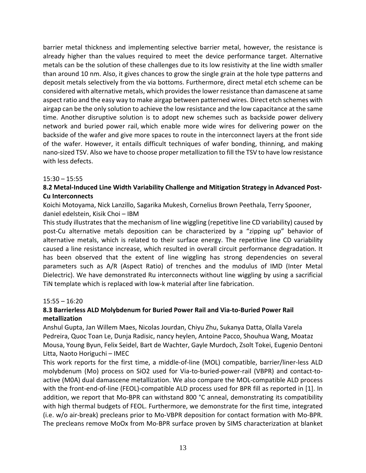barrier metal thickness and implementing selective barrier metal, however, the resistance is already higher than the values required to meet the device performance target. Alternative metals can be the solution of these challenges due to its low resistivity at the line width smaller than around 10 nm. Also, it gives chances to grow the single grain at the hole type patterns and deposit metals selectively from the via bottoms. Furthermore, direct metal etch scheme can be considered with alternative metals, which provides the lower resistance than damascene at same aspect ratio and the easy way to make airgap between patterned wires. Direct etch schemes with airgap can be the only solution to achieve the low resistance and the low capacitance at the same time. Another disruptive solution is to adopt new schemes such as backside power delivery network and buried power rail, which enable more wide wires for delivering power on the backside of the wafer and give more spaces to route in the interconnect layers at the front side of the wafer. However, it entails difficult techniques of wafer bonding, thinning, and making nano‐sized TSV. Also we have to choose proper metallization to fill the TSV to have low resistance with less defects.

#### $15:30 - 15:55$

### **8.2 Metal‐Induced Line Width Variability Challenge and Mitigation Strategy in Advanced Post‐ Cu Interconnects**

Koichi Motoyama, Nick Lanzillo, Sagarika Mukesh, Cornelius Brown Peethala, Terry Spooner, daniel edelstein, Kisik Choi – IBM

This study illustrates that the mechanism of line wiggling (repetitive line CD variability) caused by post-Cu alternative metals deposition can be characterized by a "zipping up" behavior of alternative metals, which is related to their surface energy. The repetitive line CD variability caused a line resistance increase, which resulted in overall circuit performance degradation. It has been observed that the extent of line wiggling has strong dependencies on several parameters such as A/R (Aspect Ratio) of trenches and the modulus of IMD (Inter Metal Dielectric). We have demonstrated Ru interconnects without line wiggling by using a sacrificial TiN template which is replaced with low‐k material after line fabrication.

#### 15:55 – 16:20

# **8.3 Barrierless ALD Molybdenum for Buried Power Rail and Via‐to‐Buried Power Rail metallization**

Anshul Gupta, Jan Willem Maes, Nicolas Jourdan, Chiyu Zhu, Sukanya Datta, Olalla Varela Pedreira, Quoc Toan Le, Dunja Radisic, nancy heylen, Antoine Pacco, Shouhua Wang, Moataz Mousa, Young Byun, Felix Seidel, Bart de Wachter, Gayle Murdoch, Zsolt Tokei, Eugenio Dentoni Litta, Naoto Horiguchi – IMEC

This work reports for the first time, a middle‐of‐line (MOL) compatible, barrier/liner‐less ALD molybdenum (Mo) process on SiO2 used for Via‐to‐buried‐power‐rail (VBPR) and contact‐to‐ active (M0A) dual damascene metallization. We also compare the MOL‐compatible ALD process with the front-end-of-line (FEOL)-compatible ALD process used for BPR fill as reported in [1]. In addition, we report that Mo-BPR can withstand 800 °C anneal, demonstrating its compatibility with high thermal budgets of FEOL. Furthermore, we demonstrate for the first time, integrated (i.e. w/o air‐break) precleans prior to Mo‐VBPR deposition for contact formation with Mo‐BPR. The precleans remove MoOx from Mo-BPR surface proven by SIMS characterization at blanket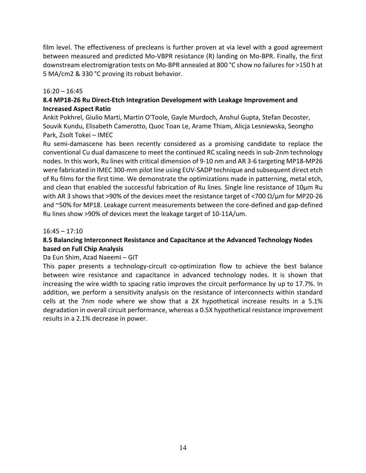film level. The effectiveness of precleans is further proven at via level with a good agreement between measured and predicted Mo-VBPR resistance (R) landing on Mo-BPR. Finally, the first downstream electromigration tests on Mo‐BPR annealed at 800 °C show no failures for >150 h at 5 MA/cm2 & 330 °C proving its robust behavior.

#### $16:20 - 16:45$

# **8.4 MP18‐26 Ru Direct‐Etch Integration Development with Leakage Improvement and Increased Aspect Ratio**

Ankit Pokhrel, Giulio Marti, Martin O'Toole, Gayle Murdoch, Anshul Gupta, Stefan Decoster, Souvik Kundu, Elisabeth Camerotto, Quoc Toan Le, Arame Thiam, Alicja Lesniewska, Seongho Park, Zsolt Tokei – IMEC

Ru semi‐damascene has been recently considered as a promising candidate to replace the conventional Cu dual damascene to meet the continued RC scaling needs in sub‐2nm technology nodes. In this work, Ru lines with critical dimension of 9‐10 nm and AR 3‐6 targeting MP18‐MP26 were fabricated in IMEC 300‐mm pilot line using EUV‐SADP technique and subsequent direct etch of Ru films for the first time. We demonstrate the optimizations made in patterning, metal etch, and clean that enabled the successful fabrication of Ru lines. Single line resistance of 10µm Ru with AR 3 shows that >90% of the devices meet the resistance target of <700  $Ω/μm$  for MP20-26 and ~50% for MP18. Leakage current measurements between the core-defined and gap-defined Ru lines show >90% of devices meet the leakage target of 10‐11A/um.

#### $16:45 - 17:10$

# **8.5 Balancing Interconnect Resistance and Capacitance at the Advanced Technology Nodes based on Full Chip Analysis**

### Da Eun Shim, Azad Naeemi – GIT

This paper presents a technology-circuit co-optimization flow to achieve the best balance between wire resistance and capacitance in advanced technology nodes. It is shown that increasing the wire width to spacing ratio improves the circuit performance by up to 17.7%. In addition, we perform a sensitivity analysis on the resistance of interconnects within standard cells at the 7nm node where we show that a 2X hypothetical increase results in a 5.1% degradation in overall circuit performance, whereas a 0.5X hypothetical resistance improvement results in a 2.1% decrease in power.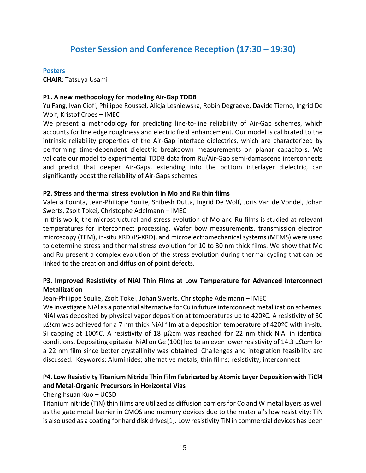# **Poster Session and Conference Reception (17:30 – 19:30)**

#### **Posters**

**CHAIR**: Tatsuya Usami

#### **P1. A new methodology for modeling Air‐Gap TDDB**

Yu Fang, Ivan Ciofi, Philippe Roussel, Alicja Lesniewska, Robin Degraeve, Davide Tierno, Ingrid De Wolf, Kristof Croes – IMEC

We present a methodology for predicting line-to-line reliability of Air-Gap schemes, which accounts for line edge roughness and electric field enhancement. Our model is calibrated to the intrinsic reliability properties of the Air‐Gap interface dielectrics, which are characterized by performing time‐dependent dielectric breakdown measurements on planar capacitors. We validate our model to experimental TDDB data from Ru/Air‐Gap semi‐damascene interconnects and predict that deeper Air‐Gaps, extending into the bottom interlayer dielectric, can significantly boost the reliability of Air‐Gaps schemes.

#### **P2. Stress and thermal stress evolution in Mo and Ru thin films**

Valeria Founta, Jean‐Philippe Soulie, Shibesh Dutta, Ingrid De Wolf, Joris Van de Vondel, Johan Swerts, Zsolt Tokei, Christophe Adelmann – IMEC

In this work, the microstructural and stress evolution of Mo and Ru films is studied at relevant temperatures for interconnect processing. Wafer bow measurements, transmission electron microscopy (TEM), in‐situ XRD (IS‐XRD), and microelectromechanical systems (MEMS) were used to determine stress and thermal stress evolution for 10 to 30 nm thick films. We show that Mo and Ru present a complex evolution of the stress evolution during thermal cycling that can be linked to the creation and diffusion of point defects.

# **P3. Improved Resistivity of NiAl Thin Films at Low Temperature for Advanced Interconnect Metallization**

Jean-Philippe Soulie, Zsolt Tokei, Johan Swerts, Christophe Adelmann – IMEC

We investigate NiAl as a potential alternative for Cu in future interconnect metallization schemes. NiAl was deposited by physical vapor deposition at temperatures up to 420ºC. A resistivity of 30  $\mu\Omega$ cm was achieved for a 7 nm thick NiAl film at a deposition temperature of 420°C with in-situ Si capping at 100ºC. A resistivity of 18  $\mu\Omega$ cm was reached for 22 nm thick NiAl in identical conditions. Depositing epitaxial NiAl on Ge (100) led to an even lower resistivity of 14.3  $\mu\Omega$ cm for a 22 nm film since better crystallinity was obtained. Challenges and integration feasibility are discussed. Keywords: Aluminides; alternative metals; thin films; resistivity; interconnect

# **P4. Low Resistivity Titanium Nitride Thin Film Fabricated by Atomic Layer Deposition with TiCl4 and Metal‐Organic Precursors in Horizontal Vias**

Cheng hsuan Kuo – UCSD

Titanium nitride (TiN) thin films are utilized as diffusion barriersfor Co and W metal layers as well as the gate metal barrier in CMOS and memory devices due to the material's low resistivity; TiN is also used as a coating for hard disk drives[1]. Low resistivity TiN in commercial devices has been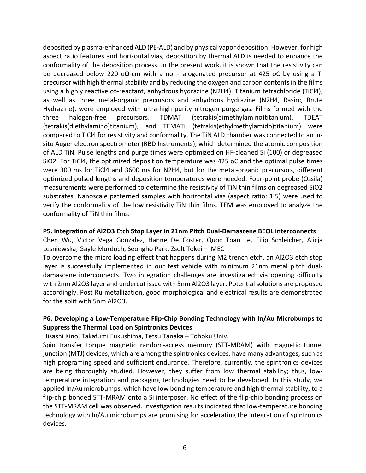deposited by plasma‐enhanced ALD (PE‐ALD) and by physical vapor deposition. However, for high aspect ratio features and horizontal vias, deposition by thermal ALD is needed to enhance the conformality of the deposition process. In the present work, it is shown that the resistivity can be decreased below 220 u $\Omega$ -cm with a non-halogenated precursor at 425 oC by using a Ti precursor with high thermal stability and by reducing the oxygen and carbon contents in the films using a highly reactive co-reactant, anhydrous hydrazine (N2H4). Titanium tetrachloride (TiCl4), as well as three metal‐organic precursors and anhydrous hydrazine (N2H4, Rasirc, Brute Hydrazine), were employed with ultra‐high purity nitrogen purge gas. Films formed with the three halogen‐free precursors, TDMAT (tetrakis(dimethylamino)titanium), TDEAT (tetrakis(diethylamino)titanium), and TEMATi (tetrakis(ethylmethylamido)titanium) were compared to TiCl4 for resistivity and conformality. The TiN ALD chamber was connected to an in‐ situ Auger electron spectrometer (RBD Instruments), which determined the atomic composition of ALD TiN. Pulse lengths and purge times were optimized on HF‐cleaned Si (100) or degreased SiO2. For TiCl4, the optimized deposition temperature was 425 oC and the optimal pulse times were 300 ms for TiCl4 and 3600 ms for N2H4, but for the metal-organic precursors, different optimized pulsed lengths and deposition temperatures were needed. Four‐point probe (Ossila) measurements were performed to determine the resistivity of TiN thin films on degreased SiO2 substrates. Nanoscale patterned samples with horizontal vias (aspect ratio: 1:5) were used to verify the conformality of the low resistivity TiN thin films. TEM was employed to analyze the conformality of TiN thin films.

#### **P5. Integration of Al2O3 Etch Stop Layer in 21nm Pitch Dual‐Damascene BEOL interconnects**

Chen Wu, Victor Vega Gonzalez, Hanne De Coster, Quoc Toan Le, Filip Schleicher, Alicja Lesniewska, Gayle Murdoch, Seongho Park, Zsolt Tokei – IMEC

To overcome the micro loading effect that happens during M2 trench etch, an Al2O3 etch stop layer is successfully implemented in our test vehicle with minimum 21nm metal pitch dual‐ damascene interconnects. Two integration challenges are investigated: via opening difficulty with 2nm Al2O3 layer and undercut issue with 5nm Al2O3 layer. Potential solutions are proposed accordingly. Post Ru metallization, good morphological and electrical results are demonstrated for the split with 5nm Al2O3.

# **P6. Developing a Low‐Temperature Flip‐Chip Bonding Technology with In/Au Microbumps to Suppress the Thermal Load on Spintronics Devices**

Hisashi Kino, Takafumi Fukushima, Tetsu Tanaka – Tohoku Univ.

Spin transfer torque magnetic random-access memory (STT-MRAM) with magnetic tunnel junction (MTJ) devices, which are among the spintronics devices, have many advantages, such as high programing speed and sufficient endurance. Therefore, currently, the spintronics devices are being thoroughly studied. However, they suffer from low thermal stability; thus, low‐ temperature integration and packaging technologies need to be developed. In this study, we applied In/Au microbumps, which have low bonding temperature and high thermal stability, to a flip-chip bonded STT-MRAM onto a Si interposer. No effect of the flip-chip bonding process on the STT‐MRAM cell was observed. Investigation results indicated that low‐temperature bonding technology with In/Au microbumps are promising for accelerating the integration of spintronics devices.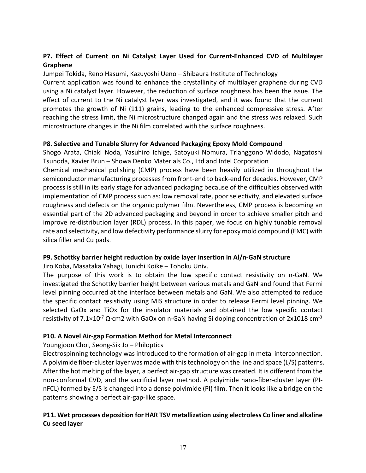# **P7. Effect of Current on Ni Catalyst Layer Used for Current‐Enhanced CVD of Multilayer Graphene**

Jumpei Tokida, Reno Hasumi, Kazuyoshi Ueno – Shibaura Institute of Technology

Current application was found to enhance the crystallinity of multilayer graphene during CVD using a Ni catalyst layer. However, the reduction of surface roughness has been the issue. The effect of current to the Ni catalyst layer was investigated, and it was found that the current promotes the growth of Ni (111) grains, leading to the enhanced compressive stress. After reaching the stress limit, the Ni microstructure changed again and the stress was relaxed. Such microstructure changes in the Ni film correlated with the surface roughness.

#### **P8. Selective and Tunable Slurry for Advanced Packaging Epoxy Mold Compound**

Shogo Arata, Chiaki Noda, Yasuhiro Ichige, Satoyuki Nomura, Trianggono Widodo, Nagatoshi Tsunoda, Xavier Brun – Showa Denko Materials Co., Ltd and Intel Corporation

Chemical mechanical polishing (CMP) process have been heavily utilized in throughout the semiconductor manufacturing processes from front-end to back-end for decades. However, CMP process is still in its early stage for advanced packaging because of the difficulties observed with implementation of CMP process such as: low removal rate, poor selectivity, and elevated surface roughness and defects on the organic polymer film. Nevertheless, CMP process is becoming an essential part of the 2D advanced packaging and beyond in order to achieve smaller pitch and improve re-distribution layer (RDL) process. In this paper, we focus on highly tunable removal rate and selectivity, and low defectivity performance slurry for epoxy mold compound (EMC) with silica filler and Cu pads.

### **P9. Schottky barrier height reduction by oxide layer insertion in Al/n‐GaN structure**

Jiro Koba, Masataka Yahagi, Junichi Koike – Tohoku Univ.

The purpose of this work is to obtain the low specific contact resistivity on n‐GaN. We investigated the Schottky barrier height between various metals and GaN and found that Fermi level pinning occurred at the interface between metals and GaN. We also attempted to reduce the specific contact resistivity using MIS structure in order to release Fermi level pinning. We selected GaOx and TiOx for the insulator materials and obtained the low specific contact resistivity of 7.1×10<sup>-7</sup> Ω⋅cm2 with GaOx on n-GaN having Si doping concentration of 2x1018 cm<sup>-3</sup>

### **P10. A Novel Air‐gap Formation Method for Metal Interconnect**

#### Youngjoon Choi, Seong‐Sik Jo – Philoptics

Electrospinning technology was introduced to the formation of air‐gap in metal interconnection. A polyimide fiber‐cluster layer was made with thistechnology on the line and space (L/S) patterns. After the hot melting of the layer, a perfect air‐gap structure was created. It is different from the non-conformal CVD, and the sacrificial layer method. A polyimide nano-fiber-cluster layer (PInFCL) formed by E/S is changed into a dense polyimide (PI) film. Then it looks like a bridge on the patterns showing a perfect air‐gap‐like space.

# **P11. Wet processes deposition for HAR TSV metallization using electroless Co liner and alkaline Cu seed layer**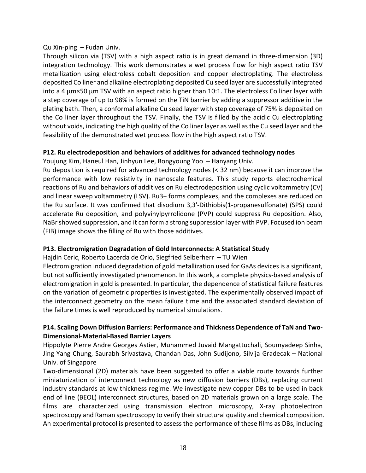### Qu Xin‐ping – Fudan Univ.

Through silicon via (TSV) with a high aspect ratio is in great demand in three‐dimension (3D) integration technology. This work demonstrates a wet process flow for high aspect ratio TSV metallization using electroless cobalt deposition and copper electroplating. The electroless deposited Co liner and alkaline electroplating deposited Cu seed layer are successfully integrated into a 4 μm×50 μm TSV with an aspect ratio higher than 10:1. The electroless Co liner layer with a step coverage of up to 98% is formed on the TiN barrier by adding a suppressor additive in the plating bath. Then, a conformal alkaline Cu seed layer with step coverage of 75% is deposited on the Co liner layer throughout the TSV. Finally, the TSV is filled by the acidic Cu electroplating without voids, indicating the high quality of the Co liner layer as well as the Cu seed layer and the feasibility of the demonstrated wet process flow in the high aspect ratio TSV.

### **P12. Ru electrodeposition and behaviors of additives for advanced technology nodes**

Youjung Kim, Haneul Han, Jinhyun Lee, Bongyoung Yoo – Hanyang Univ.

Ru deposition is required for advanced technology nodes (< 32 nm) because it can improve the performance with low resistivity in nanoscale features. This study reports electrochemical reactions of Ru and behaviors of additives on Ru electrodeposition using cyclic voltammetry (CV) and linear sweep voltammetry (LSV). Ru3+ forms complexes, and the complexes are reduced on the Ru surface. It was confirmed that disodium 3,3'‐Dithiobis(1‐propanesulfonate) (SPS) could accelerate Ru deposition, and polyvinylpyrrolidone (PVP) could suppress Ru deposition. Also, NaBrshowed suppression, and it can form a strong suppression layer with PVP. Focused ion beam (FIB) image shows the filling of Ru with those additives.

### **P13. Electromigration Degradation of Gold Interconnects: A Statistical Study**

Hajdin Ceric, Roberto Lacerda de Orio, Siegfried Selberherr – TU Wien

Electromigration induced degradation of gold metallization used for GaAs devices is a significant, but not sufficiently investigated phenomenon. In this work, a complete physics‐based analysis of electromigration in gold is presented. In particular, the dependence of statistical failure features on the variation of geometric properties is investigated. The experimentally observed impact of the interconnect geometry on the mean failure time and the associated standard deviation of the failure times is well reproduced by numerical simulations.

# **P14. Scaling Down Diffusion Barriers: Performance and Thickness Dependence of TaN and Two‐ Dimensional‐Material‐Based Barrier Layers**

Hippolyte Pierre Andre Georges Astier, Muhammed Juvaid Mangattuchali, Soumyadeep Sinha, Jing Yang Chung, Saurabh Srivastava, Chandan Das, John Sudijono, Silvija Gradecak – National Univ. of Singapore

Two-dimensional (2D) materials have been suggested to offer a viable route towards further miniaturization of interconnect technology as new diffusion barriers (DBs), replacing current industry standards at low thickness regime. We investigate new copper DBs to be used in back end of line (BEOL) interconnect structures, based on 2D materials grown on a large scale. The films are characterized using transmission electron microscopy, X-ray photoelectron spectroscopy and Raman spectroscopy to verify their structural quality and chemical composition. An experimental protocol is presented to assess the performance of these films as DBs, including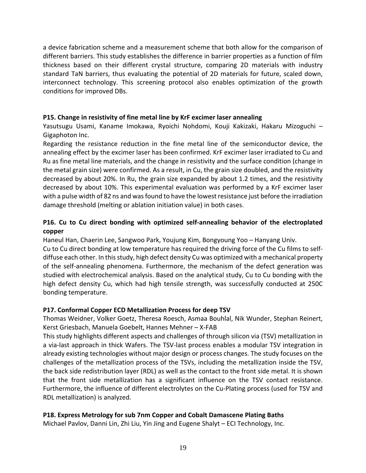a device fabrication scheme and a measurement scheme that both allow for the comparison of different barriers. This study establishes the difference in barrier properties as a function of film thickness based on their different crystal structure, comparing 2D materials with industry standard TaN barriers, thus evaluating the potential of 2D materials for future, scaled down, interconnect technology. This screening protocol also enables optimization of the growth conditions for improved DBs.

### **P15. Change in resistivity of fine metal line by KrF excimer laser annealing**

Yasutsugu Usami, Kaname Imokawa, Ryoichi Nohdomi, Kouji Kakizaki, Hakaru Mizoguchi – Gigaphoton Inc.

Regarding the resistance reduction in the fine metal line of the semiconductor device, the annealing effect by the excimer laser has been confirmed. KrF excimer laser irradiated to Cu and Ru as fine metal line materials, and the change in resistivity and the surface condition (change in the metal grain size) were confirmed. As a result, in Cu, the grain size doubled, and the resistivity decreased by about 20%. In Ru, the grain size expanded by about 1.2 times, and the resistivity decreased by about 10%. This experimental evaluation was performed by a KrF excimer laser with a pulse width of 82 ns and was found to have the lowest resistance just before the irradiation damage threshold (melting or ablation initiation value) in both cases.

# **P16. Cu to Cu direct bonding with optimized self‐annealing behavior of the electroplated copper**

Haneul Han, Chaerin Lee, Sangwoo Park, Youjung Kim, Bongyoung Yoo – Hanyang Univ. Cu to Cu direct bonding at low temperature has required the driving force of the Cu films to self‐ diffuse each other. In thisstudy, high defect density Cu was optimized with a mechanical property of the self‐annealing phenomena. Furthermore, the mechanism of the defect generation was studied with electrochemical analysis. Based on the analytical study, Cu to Cu bonding with the high defect density Cu, which had high tensile strength, was successfully conducted at 250C bonding temperature.

### **P17. Conformal Copper ECD Metallization Process for deep TSV**

Thomas Weidner, Volker Goetz, Theresa Roesch, Asmaa Bouhlal, Nik Wunder, Stephan Reinert, Kerst Griesbach, Manuela Goebelt, Hannes Mehner – X‐FAB

This study highlights different aspects and challenges of through silicon via (TSV) metallization in a via-last approach in thick Wafers. The TSV-last process enables a modular TSV integration in already existing technologies without major design or process changes. The study focuses on the challenges of the metallization process of the TSVs, including the metallization inside the TSV, the back side redistribution layer (RDL) as well as the contact to the front side metal. It is shown that the front side metallization has a significant influence on the TSV contact resistance. Furthermore, the influence of different electrolytes on the Cu-Plating process (used for TSV and RDL metallization) is analyzed.

### **P18. Express Metrology for sub 7nm Copper and Cobalt Damascene Plating Baths**

Michael Pavlov, Danni Lin, Zhi Liu, Yin Jing and Eugene Shalyt – ECI Technology, Inc.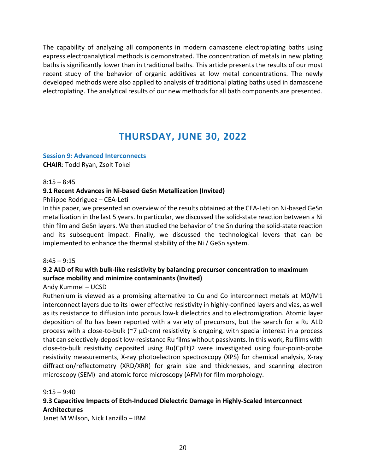The capability of analyzing all components in modern damascene electroplating baths using express electroanalytical methods is demonstrated. The concentration of metals in new plating baths is significantly lower than in traditional baths. This article presents the results of our most recent study of the behavior of organic additives at low metal concentrations. The newly developed methods were also applied to analysis of traditional plating baths used in damascene electroplating. The analytical results of our new methods for all bath components are presented.

# **THURSDAY, JUNE 30, 2022**

### **Session 9: Advanced Interconnects**

**CHAIR**: Todd Ryan, Zsolt Tokei

#### $8:15 - 8:45$

# **9.1 Recent Advances in Ni‐based GeSn Metallization (Invited)**

Philippe Rodriguez – CEA‐Leti

In this paper, we presented an overview of the results obtained at the CEA‐Leti on Ni‐based GeSn metallization in the last 5 years. In particular, we discussed the solid‐state reaction between a Ni thin film and GeSn layers. We then studied the behavior of the Sn during the solid‐state reaction and its subsequent impact. Finally, we discussed the technological levers that can be implemented to enhance the thermal stability of the Ni / GeSn system.

### $8:45 - 9:15$

# **9.2 ALD of Ru with bulk‐like resistivity by balancing precursor concentration to maximum surface mobility and minimize contaminants (Invited)**

### Andy Kummel – UCSD

Ruthenium is viewed as a promising alternative to Cu and Co interconnect metals at M0/M1 interconnect layers due to its lower effective resistivity in highly‐confined layers and vias, as well as its resistance to diffusion into porous low‐k dielectrics and to electromigration. Atomic layer deposition of Ru has been reported with a variety of precursors, but the search for a Ru ALD process with a close-to-bulk (~7 μΩ⋅cm) resistivity is ongoing, with special interest in a process that can selectively‐deposit low‐resistance Ru films without passivants. In this work, Ru films with close‐to‐bulk resistivity deposited using Ru(CpEt)2 were investigated using four‐point‐probe resistivity measurements, X‐ray photoelectron spectroscopy (XPS) for chemical analysis, X‐ray diffraction/reflectometry (XRD/XRR) for grain size and thicknesses, and scanning electron microscopy (SEM) and atomic force microscopy (AFM) for film morphology.

 $9:15 - 9:40$ 

# **9.3 Capacitive Impacts of Etch‐Induced Dielectric Damage in Highly‐Scaled Interconnect Architectures**

Janet M Wilson, Nick Lanzillo – IBM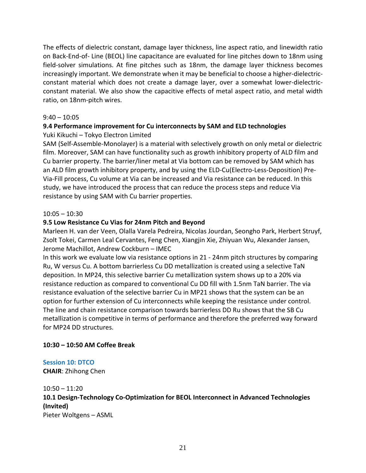The effects of dielectric constant, damage layer thickness, line aspect ratio, and linewidth ratio on Back‐End‐of‐ Line (BEOL) line capacitance are evaluated for line pitches down to 18nm using field-solver simulations. At fine pitches such as 18nm, the damage layer thickness becomes increasingly important. We demonstrate when it may be beneficial to choose a higher-dielectricconstant material which does not create a damage layer, over a somewhat lower-dielectricconstant material. We also show the capacitive effects of metal aspect ratio, and metal width ratio, on 18nm‐pitch wires.

#### $9:40 - 10:05$

# **9.4 Performance improvement for Cu interconnects by SAM and ELD technologies** Yuki Kikuchi – Tokyo Electron Limited

SAM (Self‐Assemble‐Monolayer) is a material with selectively growth on only metal or dielectric film. Moreover, SAM can have functionality such as growth inhibitory property of ALD film and Cu barrier property. The barrier/liner metal at Via bottom can be removed by SAM which has an ALD film growth inhibitory property, and by using the ELD-Cu(Electro-Less-Deposition) Pre-Via‐Fill process, Cu volume at Via can be increased and Via resistance can be reduced. In this study, we have introduced the process that can reduce the process steps and reduce Via resistance by using SAM with Cu barrier properties.

#### $10:05 - 10:30$

### **9.5 Low Resistance Cu Vias for 24nm Pitch and Beyond**

Marleen H. van der Veen, Olalla Varela Pedreira, Nicolas Jourdan, Seongho Park, Herbert Struyf, Zsolt Tokei, Carmen Leal Cervantes, Feng Chen, Xiangjin Xie, Zhiyuan Wu, Alexander Jansen, Jerome Machillot, Andrew Cockburn – IMEC

In this work we evaluate low via resistance options in 21 ‐ 24nm pitch structures by comparing Ru, W versus Cu. A bottom barrierless Cu DD metallization is created using a selective TaN deposition. In MP24, this selective barrier Cu metallization system shows up to a 20% via resistance reduction as compared to conventional Cu DD fill with 1.5nm TaN barrier. The via resistance evaluation of the selective barrier Cu in MP21 shows that the system can be an option for further extension of Cu interconnects while keeping the resistance under control. The line and chain resistance comparison towards barrierless DD Ru shows that the SB Cu metallization is competitive in terms of performance and therefore the preferred way forward for MP24 DD structures.

### **10:30 – 10:50 AM Coffee Break**

### **Session 10: DTCO**

**CHAIR**: Zhihong Chen

10:50 – 11:20 **10.1 Design‐Technology Co‐Optimization for BEOL Interconnect in Advanced Technologies (Invited)** Pieter Woltgens – ASML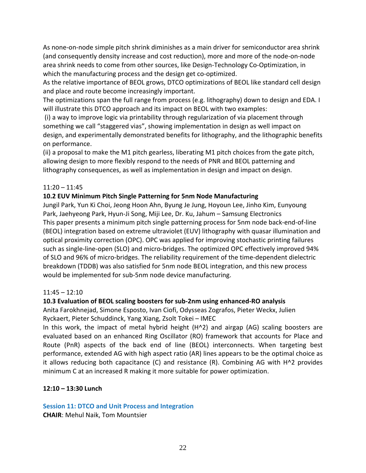As none‐on‐node simple pitch shrink diminishes as a main driver for semiconductor area shrink (and consequently density increase and cost reduction), more and more of the node‐on‐node area shrink needs to come from other sources, like Design‐Technology Co‐Optimization, in which the manufacturing process and the design get co-optimized.

As the relative importance of BEOL grows, DTCO optimizations of BEOL like standard cell design and place and route become increasingly important.

The optimizations span the full range from process (e.g. lithography) down to design and EDA. I will illustrate this DTCO approach and its impact on BEOL with two examples:

(i) a way to improve logic via printability through regularization of via placement through something we call "staggered vias", showing implementation in design as well impact on design, and experimentally demonstrated benefits for lithography, and the lithographic benefits on performance.

(ii) a proposal to make the M1 pitch gearless, liberating M1 pitch choices from the gate pitch, allowing design to more flexibly respond to the needs of PNR and BEOL patterning and lithography consequences, as well as implementation in design and impact on design.

# 11:20 – 11:45

### **10.2 EUV Minimum Pitch Single Patterning for 5nm Node Manufacturing**

Jungil Park, Yun Ki Choi, Jeong Hoon Ahn, Byung Je Jung, Hoyoun Lee, Jinho Kim, Eunyoung Park, Jaehyeong Park, Hyun‐Ji Song, Miji Lee, Dr. Ku, Jahum – Samsung Electronics This paper presents a minimum pitch single patterning process for 5nm node back‐end‐of‐line (BEOL) integration based on extreme ultraviolet (EUV) lithography with quasar illumination and optical proximity correction (OPC). OPC was applied for improving stochastic printing failures such as single-line-open (SLO) and micro-bridges. The optimized OPC effectively improved 94% of SLO and 96% of micro-bridges. The reliability requirement of the time-dependent dielectric breakdown (TDDB) was also satisfied for 5nm node BEOL integration, and this new process would be implemented for sub‐5nm node device manufacturing.

### 11:45 – 12:10

### **10.3 Evaluation of BEOL scaling boosters for sub‐2nm using enhanced‐RO analysis**

Anita Farokhnejad, Simone Esposto, Ivan Ciofi, Odysseas Zografos, Pieter Weckx, Julien Ryckaert, Pieter Schuddinck, Yang Xiang, Zsolt Tokei – IMEC

In this work, the impact of metal hybrid height (H^2) and airgap (AG) scaling boosters are evaluated based on an enhanced Ring Oscillator (RO) framework that accounts for Place and Route (PnR) aspects of the back end of line (BEOL) interconnects. When targeting best performance, extended AG with high aspect ratio (AR) lines appears to be the optimal choice as it allows reducing both capacitance  $(C)$  and resistance  $(R)$ . Combining AG with H^2 provides minimum C at an increased R making it more suitable for power optimization.

### **12:10 – 13:30 Lunch**

**Session 11: DTCO and Unit Process and Integration**

**CHAIR**: Mehul Naik, Tom Mountsier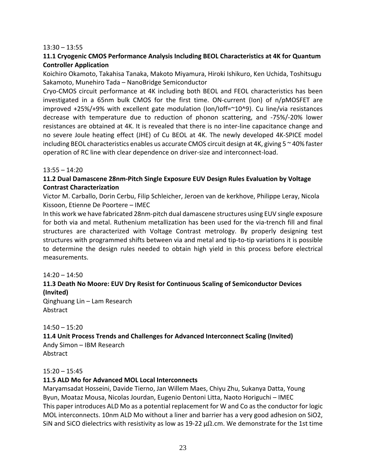#### $13:30 - 13:55$

# **11.1 Cryogenic CMOS Performance Analysis Including BEOL Characteristics at 4K for Quantum Controller Application**

Koichiro Okamoto, Takahisa Tanaka, Makoto Miyamura, Hiroki Ishikuro, Ken Uchida, Toshitsugu Sakamoto, Munehiro Tada – NanoBridge Semiconductor

Cryo‐CMOS circuit performance at 4K including both BEOL and FEOL characteristics has been investigated in a 65nm bulk CMOS for the first time. ON‐current (Ion) of n/pMOSFET are improved +25%/+9% with excellent gate modulation (Ion/Ioff=~10^9). Cu line/via resistances decrease with temperature due to reduction of phonon scattering, and ‐75%/‐20% lower resistances are obtained at 4K. It is revealed that there is no inter‐line capacitance change and no severe Joule heating effect (JHE) of Cu BEOL at 4K. The newly developed 4K‐SPICE model including BEOL characteristics enables us accurate CMOS circuit design at 4K, giving  $5 \approx 40\%$  faster operation of RC line with clear dependence on driver‐size and interconnect‐load.

#### 13:55 – 14:20

# **11.2 Dual Damascene 28nm‐Pitch Single Exposure EUV Design Rules Evaluation by Voltage Contrast Characterization**

Victor M. Carballo, Dorin Cerbu, Filip Schleicher, Jeroen van de kerkhove, Philippe Leray, Nicola Kissoon, Etienne De Poortere – IMEC

In this work we have fabricated 28nm‐pitch dual damascene structures using EUV single exposure for both via and metal. Ruthenium metallization has been used for the via‐trench fill and final structures are characterized with Voltage Contrast metrology. By properly designing test structures with programmed shifts between via and metal and tip‐to‐tip variations it is possible to determine the design rules needed to obtain high yield in this process before electrical measurements.

#### 14:20 – 14:50

# **11.3 Death No Moore: EUV Dry Resist for Continuous Scaling of Semiconductor Devices (Invited)**

Qinghuang Lin – Lam Research Abstract

#### 14:50 – 15:20

# **11.4 Unit Process Trends and Challenges for Advanced Interconnect Scaling (Invited)**

Andy Simon – IBM Research Abstract

#### $15:20 - 15:45$

### **11.5 ALD Mo for Advanced MOL Local Interconnects**

Maryamsadat Hosseini, Davide Tierno, Jan Willem Maes, Chiyu Zhu, Sukanya Datta, Young Byun, Moataz Mousa, Nicolas Jourdan, Eugenio Dentoni Litta, Naoto Horiguchi – IMEC This paper introduces ALD Mo as a potential replacement for W and Co asthe conductor for logic MOL interconnects. 10nm ALD Mo without a liner and barrier has a very good adhesion on SiO2, SiN and SiCO dielectrics with resistivity as low as 19-22  $\mu\Omega$ .cm. We demonstrate for the 1st time